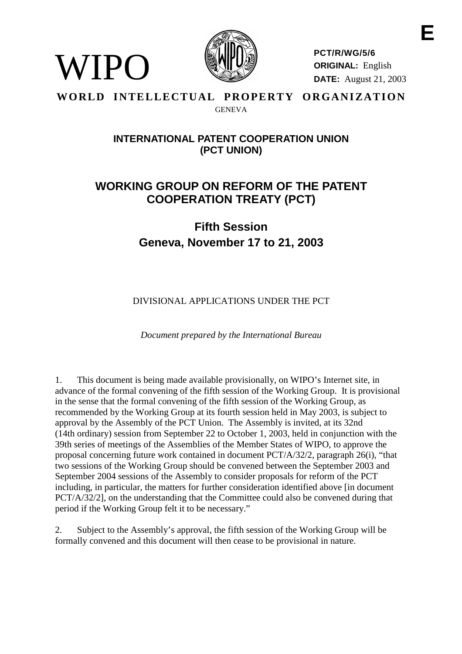

**PCT/R/WG/5/6 ORIGINAL:** English **DATE:** August 21, 2003

# **WORLD INTELLECTUAL PROPERTY ORGANIZATION GENEVA**

WIPO

# **INTERNATIONALPATENT COOPERATIONUNION (PCT UNION)**

# **WORKING GROUP ON REF ORM OF THE PATENT COOPERATION TREATY ( PCT)**

# **Fifth Session Geneva, No vember 17 to 21, 2003**

DIVISIONAL APPLICATIONS UNDER THE PCT

*Document prepared by the International Bureau*

1. This document is being made available provisionally, on WIPO's Internet site, in advance of the formal convening of the filtherm of the session of the Working Group. It is provisional in the sense that the formal convening of the fifth session of the Working Group, as recommended by the Working Group at its fourth session held in May 2003, is subject to approval by the Assembly of the PCT Union. The Assembly is invited, at its 32nd (14th ordinary) session from September 22 to October 1, 2003, held in conjunction with the 39th series of meetings of the Assemblies of the Member States of WIPO, to approve the proposal concerning future w ork contained indocument  $PCT/A/32/2$ , paragraph  $26(i)$ , "that two sessions of the Working Group should be convened between the September 2003 and September 2004 sessions of the Assembly to consider proposals for reform of the PCT including, in particular, t he matters for further consideration identified above [indocument PCT/A/32/2], on the understanding that the Committee could also be convened during that periodif the Working Group felt it to be necessary."

2. Subject to the Asse mbly's approval, the fifth session of the Working Group will be formally convened and this document will then cease to be provisional innature.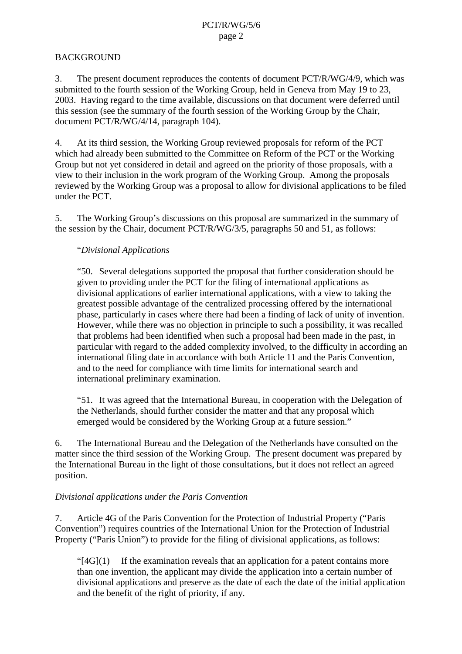# **BACKGROUND**

3. The present document reproduces the contents of document PCT/R/WG/4/9, which was submitted to the fourth session of the Working Group, held in Geneva from May 19 to 23, 2003. Having regard to the time available, discussions on that document were deferred until this session (see the summary of the fourth session of the Worki ng Group by the Chair, document PCT/R/WG/4/14, paragraph 104).

4. At its third session, the Working Group reviewed proposals for reform of the PCT which had already been submitted to the Committee on Reform of the PCT or the Workin g Groupbut not yet considered indetail and agreed on the priority of those proposals, with a view to their inclusion in the work program of the Working Group. Among the proposals reviewed by the Working Group was a proposal to allow for divisional appli cations to be filed underthe PCT.

5. The Working Group's discussions on this proposal are summarized in the summary of thesession by the Chair, document PCT/R/WG/3/5, paragraphs 50 and 51, as follows:

# "*Divisional Applications*

"50. Several delegations supported the proposal that further consideration should be given to providing under the PCT for the filing of international applications as divisional applications of earlier international applications, with a view to taking the greatest possible advantage of the centralized processing offered by the international phase, particularly incases where the rehad been a finding of lack of unity of invention. However, while the rewash objection in principle to such a possibility, it was see alled that problems had been identified when such a proposal had been made in the past, in particular with regard to the added complexity involved, to the difficulty in according an international filing date in accordance with both Article 11 and the Paris Convention, and to the need for compliance with time limits for international search and international preliminary examination.

"51. It was agreed that the International Bureau, in cooperation with the Delegation of the Netherlands, should further consider the matter and that any proposal which emerged would be considered by the Working Group at a future session."

6. The International Bureau and the Delegation of the Netherlands have consulted on the matter since the third se ssion of the Working Group. The present document was prepared by the International Bureau in the light of those consultations, but it does not reflect an agreed position.

# *Divisional applications under the Paris Convention*

7. Article 4G of the Paris Convention for the Protection of Industrial Property ("Paris") Convention") requires countries of the International Union for the Protection of Industrial Property ("Paris Union") to provide for the filing of divisional applications, as f ollows:

 $"$ [4G](1) If the examination reveals that an application for a patent contains more than one invention, the applicant may divide the application into a certain number of divisional applications and preserve as the date of each the date of the initial al application and the benefit of the right of priority, if any.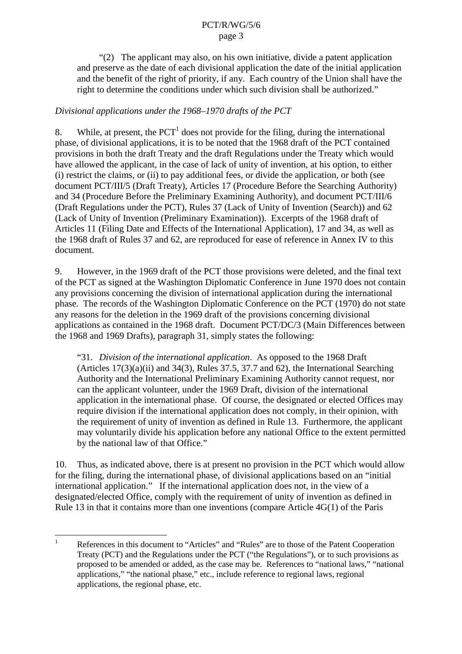$"(2)$  The applicant may also, on his own initiative, divide a patent application and preserve as the date of each divisional application the date of the initial application and the benefit of the right of priority, if any. Each country of the Unionshall have the righttodetermine the conditions under which such divisions hall be authorized."

# *Divisional applications under the 1968 –1970 drafts of the PCT*

8. While, at present, the PCT  $^{-1}$  does not provide for the filing, during the international phase, of divisional applications, it is to be noted that the 1968 draft of the PCT contained provisions in both the draft Treaty and the draft Regulations under the Treaty which would have allowed the applicant, in the case of lack of unity of invention, at his option, to either (i) restrict the claims, or (ii) to pay additional fees, or divide the application, or both (see document PCT/III/5 (Draft Treaty), Articles 17 (Procedur e Before the Searching Authority) and 34 (Procedure Before the Preliminary Examining Authority), and document PCT/III/6 (Draft Regulations under the PCT), Rules 37 (Lack of Unity of Invention (Search)) and 62 (Lack of Unity of Invention (Preliminary Examin ation)). Excerpts of the 1968 draft of Articles 11 (Filing Date and Effects of the International Application), 17 and 34, as well as the 1968 draft of Rules 37 and 62, are reproduced for ease of reference in Annex IV to this document.

9. However, in the 1969 draft of the PCT those provisions were deleted, and the final text of the PCT assigned at the Washington Diplomatic Conference in June 1970 does not contain any provisions concerning the division of international application during the international phase. The records of the Washington Diplomatic Conference on the PCT (1970) donot state any reasons for the deletion in the 1969 draft of the provisions concerning divisional applications as contained in the 1968 draft. Documen transfer the CT/DC/3 (Main Differences between the 1968 and 1969 Drafts), paragraph 31, simply states the following:

"31. *Division of the international application* . As opposed to the 1968 Draft  $(Articles 17(3)(a)(ii) and 34(3), Rules 37.5, 37.7 and 62), the Interna is a nonal Searching.$ Authority and the International Preliminary Examining Authority cannot request, nor can the applicant volunteer, under the 1969 Draft, division of the international application in the international phase. Of course, the designated or elected Offices may requiredivision if the international application does not comply, in their opinion, with the requirement of unity of inventions a defined in Rule 13. Furthermore, the applicant may voluntarily divide his application before any national O ffice to the extent permitted by the national law of that Office."

10. Thus, as indicated above, there is a throw provision in the PCT which would allow for the filing, during the international phase, of divisional application sbased on an "initial" international application." If the international application does not, in the view of a designated/electedOffice, comply with the requirement of unity of invention as defined in Rule 13 in that it contains more than one inventions (compare Article 4G(1) of the Paris

<sup>&</sup>lt;sup>1</sup> References in this document to "Articles" and "Rules" are to those of the Patent Cooperation Treaty (PCT) and the Regulations under the PCT ("the Regulations"), or to such provisions as proposed to be amended or added, as the case may be. References to "national laws," "national applications," "the national phas e," etc., include reference to regional laws, regional applications, the regional phase, etc.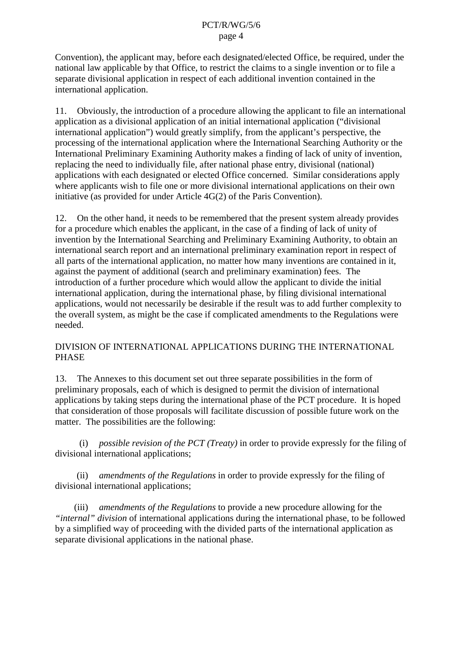Convention), the applicant may, before each designated/elected Office, be required, under the national law applicable by that Office, to restrict the claims to a single invention or to file a separate divisional applic ation in respect of each additional invention contained in the international application.

11. Obviously, the introduction of a procedure allowing the applicant to file an international application as a divisional application of an initial international application ("divisional") international application") would greatly simplify, from the applicant's perspective, the processing of the international application where the International Searching Authority or the International Preliminary Examining Authority makes a finding of lack of unity of invention, replacing the need to individually file, after national phase entry, divisional (national) applications with each designated or elected Office concerned. Similar considerations apply where applicants wish to file one or more divisional international applications on their own  $inititative (as provided for under Article 4G(2) of the Paris Convention).$ 

12. On the other hand, it needs to be remembered that the presents ys tem already provides for a procedure which enables the applicant, in the case of a finding of lack of unity of invention by the International Searching and Preliminary Examining Authority, to obtain an international search report and an international preli minary examination report in respect of all parts of the international application, no matter how many inventions are contained in it, against the payment of additional (search and preliminary examination) fees. The introduction of a further procedure which chwould allow the applicant to divide the initial international application, during the international phase, by filing divisional international applications, would not necessarily be desirable if the result was to add further complexity to the overall sy stem, as might be the case if complicated amendments to the Regulations were needed.

# DIVISION OF INTERNATIONAL APPLICATIONS DURING THE INTERNATIONAL PHASE

13. The Annexes to this document set out three separate possibilities in the form of preliminary proposals, each of which is designed to permit the division of international applications by taking steps during the international phase of the PCT procedure. It is hoped that consideration of those proposals will facilitate discussio nof possible future work on the matter. The possibilities are the following:

(i) *possiblerevision of the PCT* (*Treaty*) in order to provide expressly for the filing of divisional international applications;

(ii) *amendments of the Regulations* in order to provide express ly for the filing of divisional international applications;

(iii) *amendments of the Regulations* to provide an exprediscular dividend profile the new procedure allowing for the "*internal" division* of interna tional applications during the international phase, to be followed by a simplified way of proceeding with the divided parts of the international application as separate divisional applications in the national phase.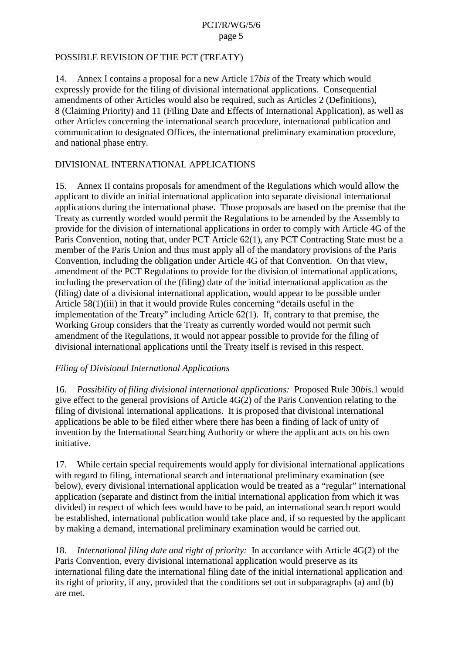#### <span id="page-4-0"></span>POSSIBLEREVISION OF THE PCT (TREATY)

14. Annex I contains a proposal for an ew Article 17 *bisof* the Treaty which would expressly provide for the filing of divisional international applications. Consequential amendments of other Articles would also be required, such as  $A$ rticles 2 (Definitions), 8 (Claiming Priority) and 11 (Filing Date and Effects of International Application), as well as other Articles concerning the international search procedure, international publication and communication to designated Offices, the international preliminary examination procedure, and national phase entry.

# DIVISIONAL INTERNATIONAL APPLICATIONS

15. Annex II contains proposals for amendment of the Regulations which would allow the applicant to divide an initial international application into separate divisional international applications during the international phase. Those proposals are based on the premise that the Treaty as currently worded would permit the Regulations to be amended by the Assembly to provide for the division of international applications in order to comply with Article 4G of the Paris Convention, noting that, under PCT Article 62(1), any PCT Contracting State must be a member of the Paris Union and thus must apply all of the mandatory provis ions of the Paris Convention, including the obligation under Article 4G of that Convention. On that view, amendment of the PCTR egulations to provide for the division of international applications, including the preservation of the (filing) date of the in itial international application as the (filing) date of a divisional international application, would appear to be possible under Article 58(1)(iii)inthatitwould provide Rules concerning "details useful in the implementation of the Treaty" including Ar ticle 62(1). If, contrary to that premise, the Working Group considers that the Treaty as currently worded would not permit such amendment of the Regulations, it would not appear possible to provide for the filing of divisional international applications until the Treaty itself is revised in this respect.

# *Filing of Divisional International Applications*

16. *Possibility of filing divisional international applications:* Proposed Rule 30 *bis.*1 would give effect to the general provision sof Article 4G(2) of the Paris Convention relating to the filing of divisional international applications. It is proposed that divisional international applications be able to be filed either where the rehas been a finding of lack of unity of invention by the International Searching Authority or where the applicant acts on his own initiative.

17. While certains pecial requirements would apply for divisional international applications with regard to filing, international search and international preliminary examination (see below), every divisional international application would be treated as a "regular" international application (separate and distinct from the initial international application from which it was divided) in respect of which fees would have to be paid, an international search report would be established, international publication would take place and, if so requested by the applicant by making a demand, international preliminary examination would be carried out.

18. *International filing date and right of priority:* Inaccordance with Article 4G(2) of the Paris Convention, every divisional international application would preserve as its international filing date the international filing date of the initial international application and its right of priority, if any, provided that the conditions set out in subparagraphs [\(a\)](#page-5-0) and [\(b\)](#page-5-0) are met.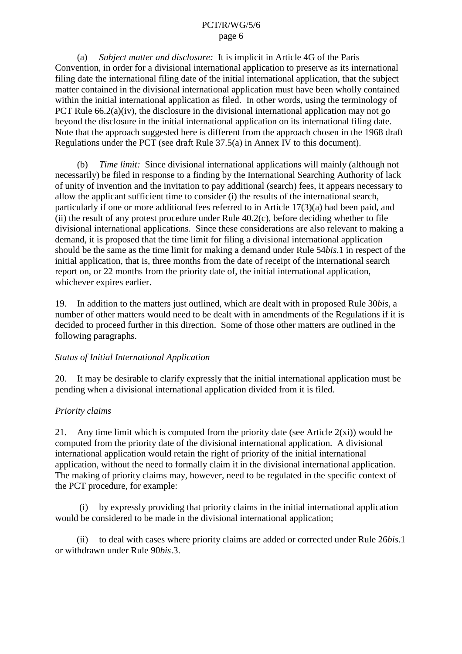<span id="page-5-0"></span>(a) *Subjectmatter and disclosure*: I tisimplicit in Article 4G of the Paris Convention, in order for a divisional international application to preserve as its international filing date the international filing date of the initial international application, that the subject matter contained in the divisional international application must have been wholly contained within the initial international applications filed. In other words, using the terminology of PCTRule  $66.2(a)(iv)$ , the disclosure in the divisional international application ma ynot go beyond the disclosure in the initial international application on its international filing date. Note that the approach suggested here is different from the approach chosen in the 1968 draft Regulations under the PCT (seedraft Rule 37.5(a) in An nex IV to this document).

(b) *Time limit:* Since divisional international applications will mainly (although not necessarily) be filed in response to a finding by the International Searching Authority of lack of unity of invention and the invitation to pay additional (search) fees, it appears necessary to allow the applicant sufficient time to consider (i) the results of the international search, particularly if one or more additional fees referred to in Article 17(3)(a) had been p aid, and  $(ii)$  the result of any protest procedure under Rule 40.2(c), before deciding whether to file divisional international applications. Since these considerations are also relevant to making a demand, it is proposed that the time limit for filing a d ivisional international application should be the same as the time limit for making a demand under Rule 54*bis*. 1 in respect of the initial application, that is, three months from the date of receipt of the international search reporton, or 22 months from the priority date of, the initial international application, whichever expires earlier.

19. In addition to the matters just outlined, which are dealt with in proposed Rule 30 *bis*, a number of othermatters would need to be dealt with in amendments of the Regulations if it is decided to proceed further in this direction. Some of those other matters are outlined in the following paragraphs.

# *Status of Initial International Application*

20. It may be desirable to c larify expressly that the initial international application must be pending when a divisional international application divided from it is filed.

# *Priority claims*

21. Any time limit which is computed from the priority date (see Arti cle  $2(x_i)$ ) would be computed from the priority date of the divisional international application. A divisional international application would retain the right of priority of the initial international application, without the need to formally claim it int international international application. The making of priority claims may, however, need to be regulated in the specific context of the PCT procedure, for example:

(i) by expressly providing that priority claims in the initial in ternational application would be considered to be made in the divisional international application;

(ii) to deal with cases where priority claims are added or corrected under Rule 26*bis*.1 or withdrawn under Rule 90*bis*.3.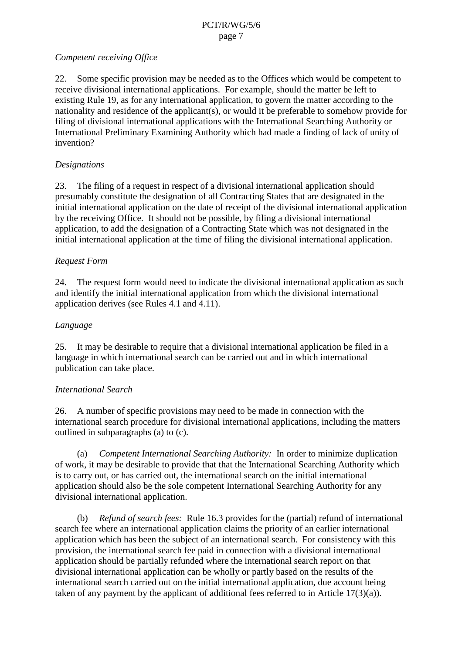# <span id="page-6-0"></span>*Competent receiving Office*

22. Some specific provision may be needed as to the Offices which would be competent to receive divisional international applications. For example, should the matter be left to existing Rule 19, as for any internat ional application, to govern the matter according to the nationality and residence of the applicant (s), or would it be preferable to some how provide for filing of divisional international applications with the International Searching Authority or International Preliminary Examining Authority which had made a finding of lack of unity of invention?

# *Designations*

23. The filing of a request in respect of a divisional international applicationshould presumably constitute the designation of all Contracting States that are designated in the initial international application on the date of receipt of the divisional international application by the receiving Office. It should not be possible, by filing a divisional international application, to add the designation of a Contracting State which was not designated in the initial international application at the time of filing the divisional international application.

# *Request Form*

24. The request form would need to indict ate the divisional international application as such a such as  $24$ . and identify the initial international application from which the divisional international application derives (see Rules 4.1 and 4.11).

# *Language*

25. It may be desirable to require rethat a divisional international application be filed in a language in which international search can be carried out and in which international publication can take place.

# *International Search*

26. Anumber of specific provisions may need to be made inconnection with the international search procedure for divisional international applications, including the matters outlined in subparagraphs (a) to [\(c\).](#page-7-0)

(a) *CompetentInternationalSearchingAuthority:* Inordertominimizeduplication of work, it may be desirable to provide that that the International Searching Authority which isto carry out, or has carried out, the international search on the initial internat ional application should also be the sole competent International Searching Authority for any divisional international application.

(b) *Refundofsearchfees:* Rule 16.3 provides for the (partial) refund of international search fee where an international application claims the priority of an earlier international application which has been the subject of an international search. For consistency with this provision, the international search fee paid in connection with a divisional international application should be partially refunded where the international search report on that divisional international application can be wholly or partly based on the results of the international search carried out on the initial international applieration due account being  $taken of any payment by the application of additional fees referred to in Article 17(3)(a).$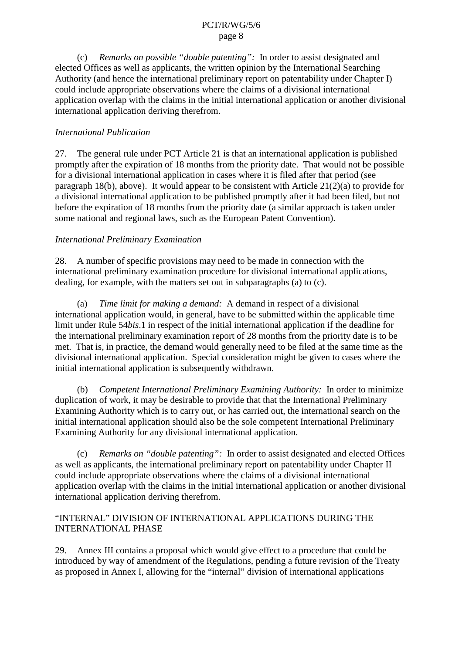<span id="page-7-0"></span>(c) Remarks on possible "double patenting": In order to assist designated and elected Offices as well as applicant s, the written opinion by the International Searching Authority (and hence the international preliminary report on patentability under Chapter I) could include appropriate observations where the claims of a divisional international application overlap wit hthe claims in the initial international application or another divisional international application deriving therefrom.

# *International Publication*

27. The general rule under PCT Article 21 is that an international application is p ublished promptly after the expiration of 18 months from the priority date. That would not be possible for a divisional international application in cases where it is filed after that period (see paragraph  $18(b)$ , above). It wo uld appear to be consistent with Article  $21(2)(a)$  to provide for adivisional international application to be published promptly after it had been filed, but not before the expiration of 18 months from the priority date (asimilar approach is taken under somenational and regional laws, such as the European Patent Convention).

# *International Preliminary Examination*

28. Anumber of specific provisions may need to be made inconnection with the international preliminary examination pro cedure for divisional international applications, dealing, for example, with the matters set out in subparagraphs (a) to (c).

(a) *Time limit for making a demand:* A demand in respect of a divisional international application would, in general, have to be submitted within the applicable time limit under Rule 54*bis*.1 in respect of the initial international application if the deadline for the international preliminary examination report o f 28 months from the priority date is to be met. That is, in practice, the demand would generally need to be filed at the same time as the divisional international application. Special consideration might be given to cases where the initial international application is subsequently withdrawn.

(b) *Competent International Preliminary Examining Authority:* Inorderto minimize duplication of work, it may be desirable to provide that that the International Preliminary Examining Author ity which is to carry out, or has carried out, the international search on the initial international applications hould also be the sole competent International Preliminary Examining Authority for any divisional international application.

(c) Remarks on "double patenting": Inorder to assist designated and elected Offices as well as applicants, the international preliminary report on patentability under Chapter II could include appropriate observations where the claims of a divisio nalinternational application overlap with the claims in the initial international application or another divisional international application deriving therefrom.

# "INTERNAL" DIVISION OF INTERNATIONAL APPLICATIONS DURING THE INTERNATIONALPHASE

29. Annex III contains a proposal which would give effect to a procedure that could be introduced by way of amendment of the Regulations, pending a future revision of the Treaty as proposed in Annex I, allowing for the "internal" division of i nternational applications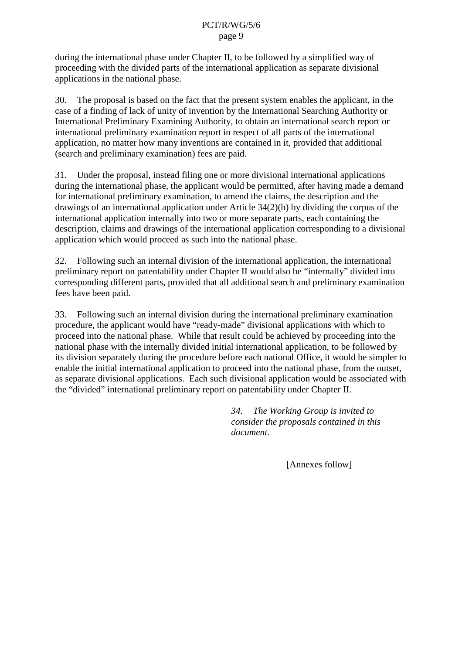<span id="page-8-0"></span>during the international phase under Chapter II, to be followed by a simplified way of proceeding with the divided parts of the international application as separate divisional applications in the national phase.

30. The proposal is based on the fact that the present system enables the applicant, in the case of a finding of lack of unity of invention by the International Searching Authority or International Preliminary Examining Authority, to obtain an inte rnational search report or international preliminary examination report in respect of all parts of the international application, no matter how many inventions are contained in it, provided that additional (search and preliminary examination) fees are paid

31. Under the proposal, instead filing one or more divisional international applications during the international phase, the applicant would be permitted, after having made a demand for international preliminary examination, to am end the claims, the description and the drawings of an international application under Article 34(2)(b) by dividing the corpus of the international application internally into two or more separate parts, each containing the description, claims and drawings of the international application corresponding to adivisional application which would proceed as such into the national phase.

32. Following such an internal division of the international application, the international preliminary report on patentability under Chapter II would also be "internally" divided into corresponding different parts, provided that all additional search and preliminary examination feeshave been paid.

33. Following such an internal div ision during the international preliminary examination procedure, the applicant would have "ready -made" divisional applications with which to proceed into the national phase. While that result could be achieved by proceeding into the national phase with the internally divided initial international application, to be followed by its division separately during the procedure before each national Office, it would be simpler to enable the initial international application to proceed into the national phase, from the outset, asseparatedivisional applications. Each such divisional application would be associated with the "divided" international preliminary report on patentability under Chapter II.

> *34. The Working Group is invited to consider the proposals contained in this document.*

> > [Annexesfollow]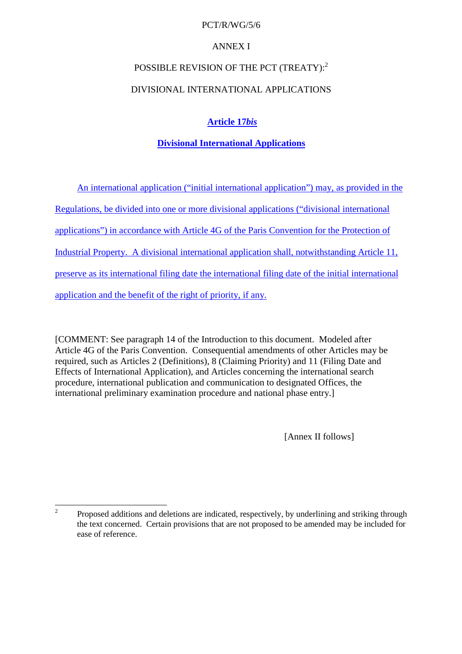## PCT/R/WG/5/6

# **ANNEXI**

# POSSIBLEREVISION OF THE PCT (TREATY): <sup>2</sup>

# DIVISIONAL INTERNATIONAL APPLICATIONS

# **Article 17** *bis*

# **Divisional International Applications**

An international application ("initial inte rnational application") may, as provided in the

Regulations, be divided into one or more divisional applications ("divisional international

applications") in accordance with Article 4G of the Paris Convention for the Protection of

Industrial Property. A d ivisional international applicationshall, notwithstanding Article 11,

preserve as its international filing date the international filing date of the initial international

application and the benefit of the right of priority, if any.

[COMMENT: See paragrap h[14 o](#page-4-0)f the Introduction to this document. Modeled after Article 4G of the Paris Convention. Consequential amendments of other Articles may be required, such as Articles 2 (Definitions), 8 (Claiming Priority) and 11 (Filing Da teand Effects of International Application), and Articles concerning the international search procedure, international publication and communication to designated Offices, the international preliminary examination procedure and national phase entry. ]

[Annex IIfollows]

<sup>&</sup>lt;sup>2</sup> Proposed additions and deletions are indicated, respectively, by underlining and striking through the text concerned. Certain provisions that are not proposed to be amended may be included for ease of reference.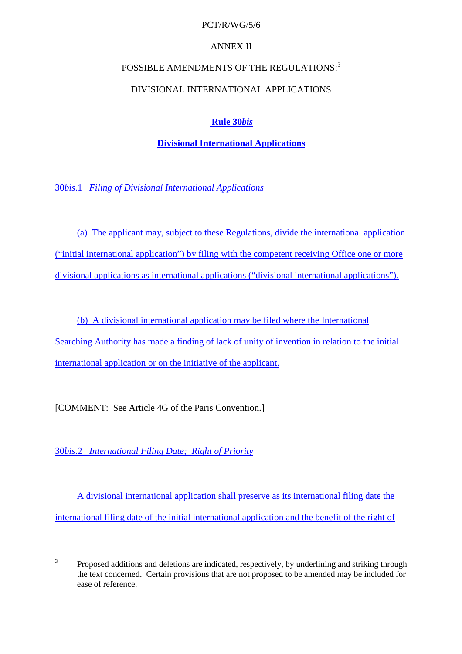## PCT/R/WG/5/6

# **ANNEXII**

# POSSIBLE AMENDMENTS OF THE REGULATIONS:  $3$

# DIVISIONAL INTERNATIONAL APPLICATIONS

# **Rule 30** *bis*

# **Divisional International Applications**

30*bis*.1 *Filing of Divisional International Applications*

(a) The applicant may, subject to these Regulations, divide the international application ("initial international application") by filing with the competent receiving Office one or more divisional applications as international applications ("divisional international applications").

(b) A divisional international application may be filed where the International Searching Authority has made a finding of lack of unity of invention in relation to the initial international application or on the initiative of the applicant.

[COMMENT:See Artic le4Gofthe Paris Convention.]

30*bis*.2 *International Filing Date; Right of Priority*

A divisional international applicationshall preserve as its international filing date the international filing date of the initial international application and the b enefit of the right of

 $3$  Proposed additions and deletions are indicated, respectively, by underlining and striking through the text concerned. Certain provisions that are not proposed to be amended may be included for ease of reference.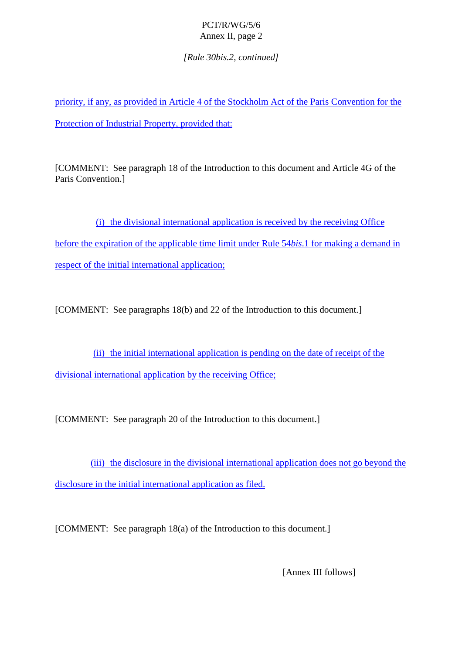*[Rule 30bis.2, continued]*

priority, if any, as provided in Article 4 of the Stockholm Act of the Paris Convention for the Protection of Industrial Property, provided that:

[COMMENT: See paragraph [18 o](#page-4-0)f the Introduction to this document and Article 4G of the Paris Convention.]

(i) the divisional international application is received by the receiving Office before the expiration of the applicable time limit under Rule 54*bis*. 1 for making a demand in respect of the initial international application;

[COMMENT: See paragraphs [18\(b\) a](#page-5-0)nd [22 o](#page-6-0)f the Introduction to this document.]

(ii) the initial international application is pending on the date of receipto fthe divisional international application by the receiving Office;

[COMMENT:Seeparagraph 20ofthe Introduction to this document.]

(iii) the disclosure in the divisional international application does not go beyond the disclosure in the initial international application as filed.

[COMMENT:Seeparagraph [18\(a\)](#page-5-0) of the Introduction to this document.]

[Annex III follows]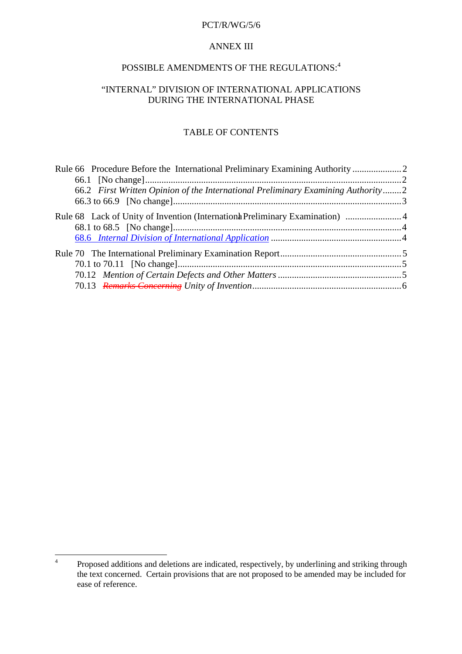#### PCT/R/WG/5/6

#### **ANNEXIII**

# POSSIBLE AMENDMENTS OF THE REGULATIONS:  $^{\,4}$

## "INTERNAL" DIVISION OF IN TERNATIONAL APPLICATIONS DURING THE INTERNATIONAL PHASE

# **TABLEOFCONTENTS**

| Rule66ProcedureBeforetheInternationalPreliminaryExaminingAuthority manufactureBeforetheInternationalPreliminaryExaminingAuthority manufactureBeforetheInternationalPreliminaryExaminingAuthority |  |
|--------------------------------------------------------------------------------------------------------------------------------------------------------------------------------------------------|--|
|                                                                                                                                                                                                  |  |
| 66.2 FirstWrittenOpinionoftheInternationalPreliminaryExaminingAuthority m2                                                                                                                       |  |
|                                                                                                                                                                                                  |  |
| Rule68LackofUnityofInvention(Internation) PreliminaryExamination) manufactured and all the Rule68LackofUnityofInvention(Internation) PreliminaryExamination                                      |  |
|                                                                                                                                                                                                  |  |
|                                                                                                                                                                                                  |  |
|                                                                                                                                                                                                  |  |
|                                                                                                                                                                                                  |  |
|                                                                                                                                                                                                  |  |
|                                                                                                                                                                                                  |  |

<sup>&</sup>lt;sup>4</sup> Proposed additions and deletions are indicated, respectively, by underlining and striking through the text concerned. Certain provisions that are not proposed to be amended may be included for ease of reference.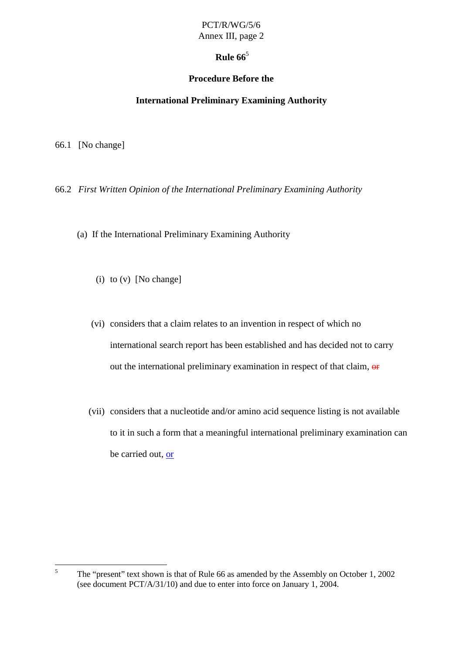# **Rule 66** $^5$

# **Procedure Before the**

# **International Preliminary Examining Authority**

<span id="page-13-0"></span>66.1 [Nochange]

66.2 *First Written Opinion of the International Preliminary Examining Authority*

- (a) If the International Preliminary Examining Authority
	- $(i)$  to  $(v)$  [No change]
	- (vi) considers that a claim relates to an invention in respect of which no international search report has been established and has decided not to carry out the international preliminary examination in respect of that claim,  $\theta$
	- (vii) considers that a nucleotide and/or amino acid sequence listing is not available to it in such a form that a meaningful international preliminary examination can becarried out, or

<sup>&</sup>lt;sup>5</sup> The "present" textshow nis that of Rule 66 as amended by the Assembly on October 1, 2002 (seedocument PCT/A/31/10) and due to enter into force on January 1, 2004.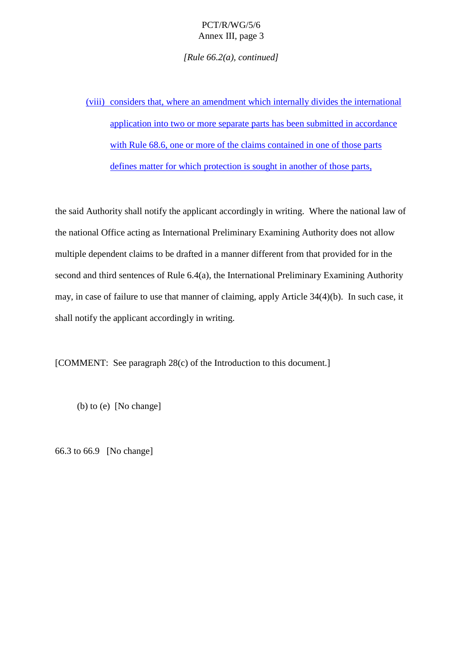*[Rule 66.2(a), continued]*

<span id="page-14-0"></span>(viii) considers that, where an amendment which internally divides the international application into two or more separate parts has been submitted in accordance with Rule 68.6, one or more of the claims contained in one of those parts defines matter for which protection is sought in another of those parts,

thesa idAuthority shall notify the applicant accordingly in writing. Where the national law of the national Office acting as International Preliminary Examining Authority does not allow multipledependent claims to be drafted in a manner different from that pr ovided for in the second and third sentences of Rule 6.4(a), the International Preliminary Examining Authority may, in case of failure to use that manner of claiming, apply Article 34(4)(b). In such case, it shall notify the applicant accordingly in writi ng.

[COMMENT:Seeparagraph [28\(c\)](#page-7-0) of the Introduction to this document.]

 $(b)$  to  $(e)$  [No change]

66.3to 66.9 [No change]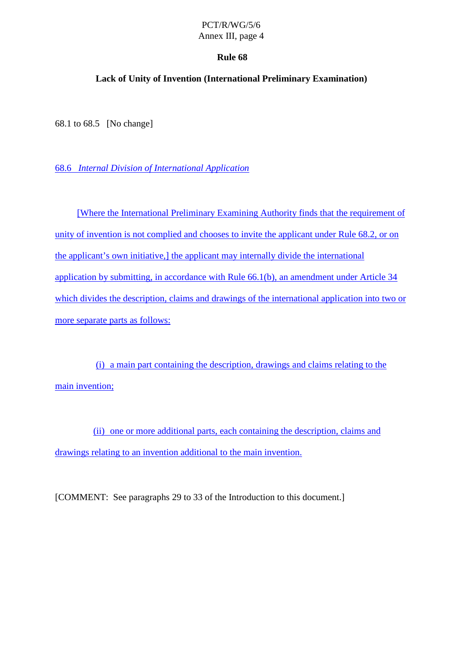## **Rule 68**

## <span id="page-15-0"></span>**Lack of Unity of Invention (International Preliminary Examination)**

68.1 to 68.5 [No chang e]

68.6 *Internal Division of International Application*

[Where the International Preliminary Examining Authority finds that the requirement of unity of invention is not complied and chooses to invite the applicant under Rule 68.2, or on the applicant's o wninitiative, lthe applicant may internally divide the international application by submitting, in accordance with Rule  $66.1(b)$ , an amendment under Article 34 which divides the description, claims and drawings of the international application into two or more separate parts as follows:

(i) a main part containing the description, drawings and claims relating to the maininvention;

(ii) one or more additional parts, each containing the description, claims and drawings relating to an invention additional to the main invention.

[COMMENT:Seeparagraphs 29to 33oftheIntroductiontothisdocument.]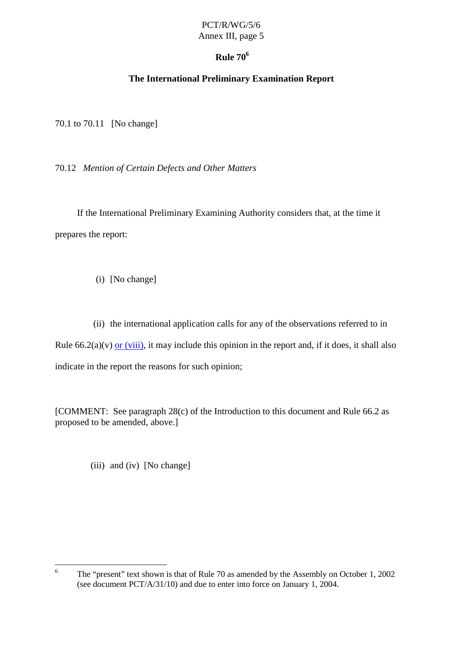# **Rule 70 <sup>6</sup>**

# **The International Preliminary Examination Report**

<span id="page-16-0"></span>70.1 to 70.11 [Nochange]

70.12 *Mention of Certain Defects and Other Matters*

If the International Preliminary Examining Authority considers that, at the time it prepares thereport:

- (i) [Nochange]
- (ii) the international application calls for any of the observations referred to in Rule  $66.2(a)(v)$  or  $(viii)$ , it may include this opinion in the reportand, if it does, it shall also indicate in the report the reasons for such opinion;

[COMMENT: See paragraph [28\(c\)](#page-7-0) of the Introduction to this document and Rule 66.2 as proposed to beamended, above.]

 $(iii)$  and  $(iv)$  [No change]

<sup>&</sup>lt;sup>6</sup> The "present" text shown is that of Rule 70 as amended by the Assembly on October 1, 2002 (seedocument PCT/A/3 1/10) and due to enter into force on January 1, 2004.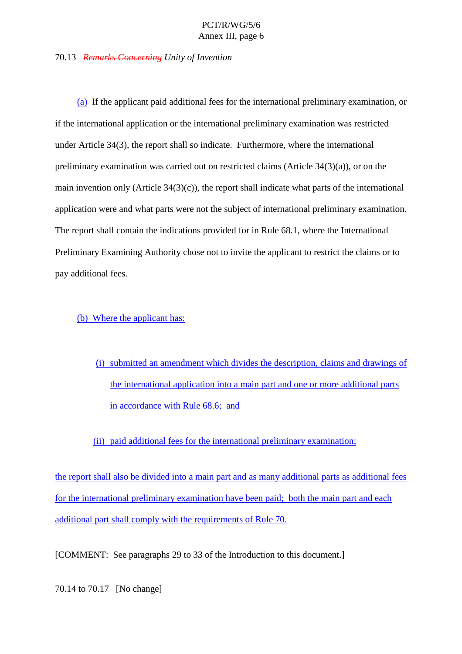#### <span id="page-17-0"></span>70.13 *Remarks Concerning Unity of Invention*

(a) If the applicant paid additional fees for the international preliminary examination, or if the international application or the international pr eliminary examination was restricted under Article 34(3), the report shall so indicate. Furthermore, where the international preliminary examination was carried out on restricted claims  $(A$ rticle  $34(3)(a)$ , or on the main invention only  $(Article 34(3)(c))$ , the reportshall indicate what parts of the international application were and what parts were not the subject of international preliminary examination. The reportshall contain the indications provided for in Rule 68.1, where the International Preliminary Examining Authority chose not to invite the applicant to restrict the claims or to payadditional fees.

## (b) Where the applicant has:

(i) submitted an amendment which divides the description, claims and drawings of the international application into a main part and one or more additional parts in accordance with Rule 68.6; and

#### (ii) paid additional fees for the international preliminary examination;

the reportshall also be divided into a main part and as many additional parts as additional fees fort heinternational preliminary examination have been paid; both the main part and each additional partshall comply with the requirements of Rule 70.

[COMMENT:Seeparagraphs 29to 33oftheIntroduct iontothis document.]

70.14 to 70.17 [Nochange]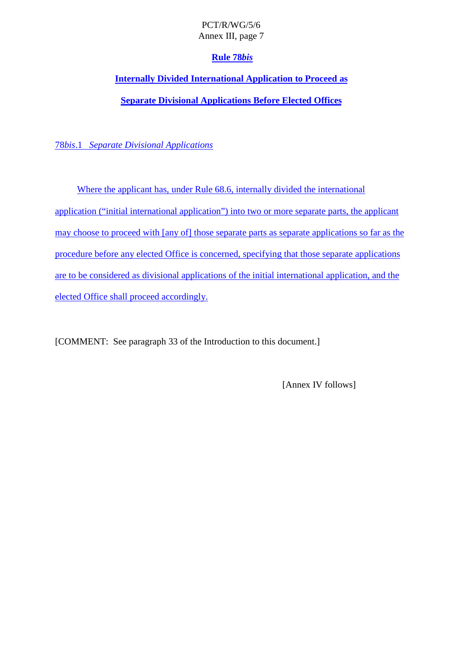# **Rule 78** *bis*

# **Internally Divided International Application to Proceed as**

# **Separate Divisional Applications Before Elected Offices**

78*bis*.1 *Separate Divisional Applications*

Where the applicant has, under Rule 68.6, internally divided the international application ("initial international application") into two or more separate parts, the applicant may choose to proceed with [any of] those separate parts as separate applications so far as the procedure befor e any elected Office is concerned, specifying that those separate applications are to be considered as divisional applications of the initial international application, and the elected Office shall proceed accordingly.

[COMMENT:Seeparagraph 33oftheIntroductiontothis document.]

[Annex IV follows]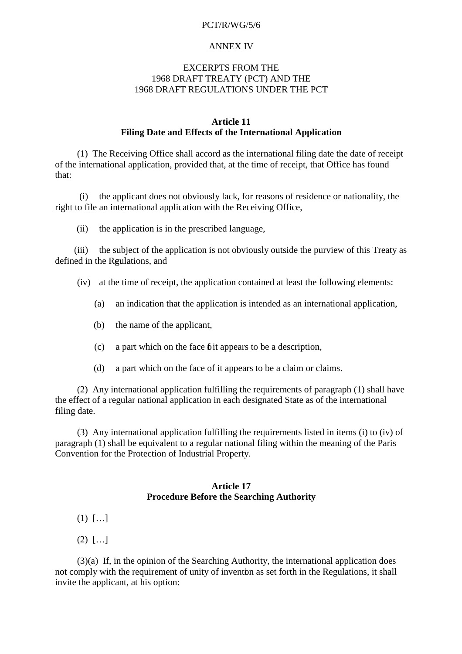#### PCT/R/WG/5/6

#### **ANNEXIV**

#### **EXCERPTSFROMTHE** 1968 DRAFT TREATY (PCT) AND THE 1968 DRAFT REGULATIONS UNDER THE PCT

#### **Article 11 Filing Date and Effects of the International Application**

(1) The Receiving Office shall accord as the international filing date the date of receipt of the international application, provided that, at the time of receipt, that Office has found that:

(i) the applicant does not obviously lack, for reasons of residence or nationality, the righttofileaninternational application with the Receiving Office,

(ii) the application is in the prescribed language,

(iii) the subject of the application is not obviously outside the purview of this Treaty as defined in the Regulations, and

(iv) at the time of receipt, the application contained at least the following el ements:

- (a) anindication that the application is intended as an international applic ation,
- (b) the name of the applicant,
- (c) apart which on the face of tappears to be a description,
- (d) apart which on the face of it appears to be a claim or claims.

(2) Any international application fulfilling the requirements of paragraph (1) shall have the effect of a regular national application in each design ated State as of the international filing date.

(3) Any international application fulfilling the requirements listed in items (i) to (iv) of paragraph(1) shall be equivalent to a regular national filing within the meaning of the Paris Convention for the Protection of I ndustrial Property.

#### **Article 17 Procedure Before the Searching Authority**

- $(1)$   $[...]$
- (2) […]

(3)(a) If, in the opinion of the Searching Authority, the international application does not comply with the requirement of unity of inventions set for thin the Regulations, it shall invite the applicant, at his option: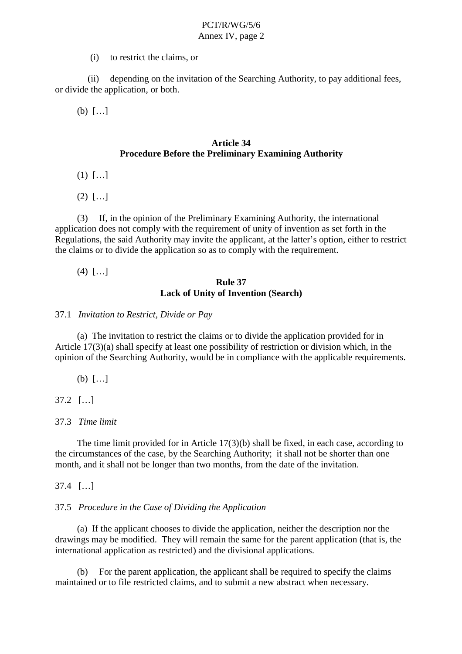(i) to restrict the claims, or

(ii) depending on the invitation of the Searching Authority, to pay additional fees, or divide the application, or both.

(b) […]

## **Article 34 Procedure Before the Preliminary Examining Authority**

- $(1)$   $[...]$
- $(2)$   $[...]$

(3) If, in the opinion of the Preliminary Examining Authority, the international application does not comply with the requirement of unity of invention as set for thin the Regulations, the said Authority may invite the applicant, at the latter's option, either to restrict the claims orto divide the application so as to comply with the requirement.

 $(4)$   $[...]$ 

# **Rule 37 Lack of Unity of Invention (Search)**

# 37.1 *Invitation to R estrict, Divide or Pay*

(a) The invitation to restrict the claims or to divide the application provided for in Article 17(3)(a) shall specify at least one possibility of restriction or division which, in the opinion of the Searching Authority, would be i n compliance with the applicable requirements.

(b) […]

37.2 […]

# 37.3 *Time limit*

The time limit provided for in Article  $17(3)$ (b) shall be fixed, in each case, according to the circumstances of the case, by the Searching Authority; it shall not b eshorter than one month, and it shall not be longer than two months, from the date of the invitation.

37.4 […]

# 37.5 *Procedure in the Case of Dividing the Application*

(a) If the applicant chooses to divide the application, neither the description nor the drawings may be modified. They will remain the same for the parent application (that is, the international application as restricted) and the divisional applications.

(b) Forthe parent application, the applicant shall be required to specify the claims maintained orto file restricted claims, and to submitane wab stract when necessary.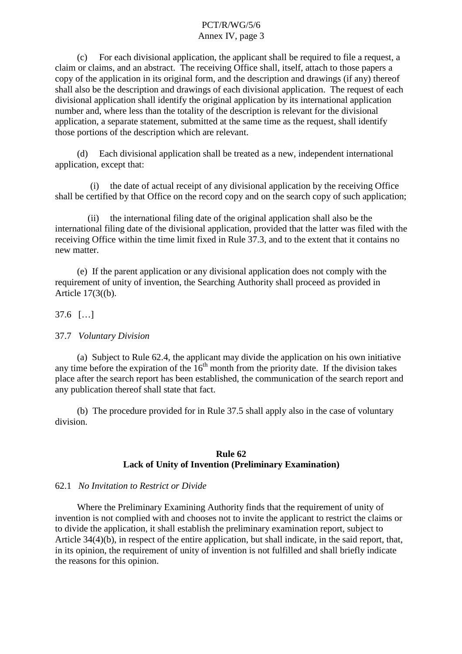(c) For each divisional application, the applicant shall be required to file a request, a claim or claims, and an abstract. The receiving Office shall, itself, attach to those papers a copy of the application in its original form, and the description and drawings (if any) thereof shall also be the description and drawings of each divisional application. The request of each divisional application shall identify the original application by its international application number and, where less than the totality of the description is relevant for the divisional application, a separate statement, submitted at the same time as the request, shall identify those portions of the description which are relevant.

(d) Each divisional applications hall be treated as a new, independent international application, except that:

(i) the date of actual receipt of any divisional application by the receiving Office shall be certifived by that Office on the record copy and on the search copy of such application;

(ii) the international filing date of the original application shall also be the international filing date of the divisional application, provided that the latter was filed with the receiving Office within the time limit fixed in Rule 37.3, and to the extent that it contains no new matter.

(e) If the parent application or any divisional application does not comply with the requirement of unity of invention, the Searching A uthority shall proceed as provided in Article  $17(3(6)$ .

37.6 […]

#### 37.7 *Voluntary Division*

(a) Subject to Rule 62.4, the applicant may divide the application on his own initiative meber for ethe expiration of the 16  $^{\text{th}}$  month from the priority da te. If the division ta any time before the expiration of the 16  $t$ <sup>th</sup> month from the priority da te. If the division takes place after the search report has been established, the communication of the search report and any publication thereof shall state that fact.

(b) The procedure provided for in Rule 37.5 shall apply also in the case of voluntar y division.

#### **Rule62 Lack of Unity of Invention (Preliminary Examination)**

#### 62.1 *No Invitation to Restrict or Divide*

Where the Preliminary Examining Authority finds that the requirement of unity of invention is not complied with and chooses not to invisible the applicant to restrict the claims or to divide the application, it shall establish the preliminary examination report, subject to Article 34(4)(b), in respect of the entire application, but shall indicate, in the said report, that, inits opinion, the requirement of unity of invention is not fulfilled and shall briefly indicate the reasons for this opinion.